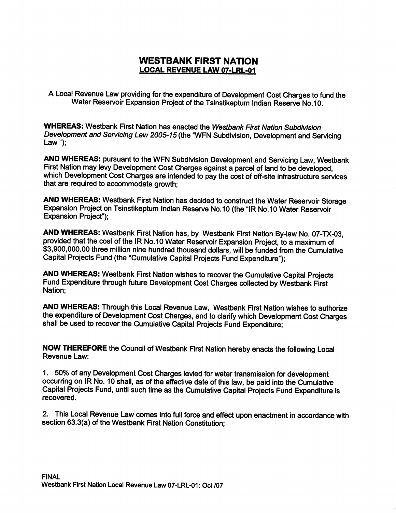### WESTBANK FIRST NATION LOCAL REVENUE LAW 07-LRL-01

A Local Revenue Law providing for the expenditure of Development Cost Charges to fund the Water Reservoir Expansion Project of the Tsinstikeptum Indian Reserve No. 10.

WHEREAS: Westbank First Nation has enacted the Westbank First Nation Subdivision Development and Servicing Law 2005-15 (the "WFN Subdivision, Development and Servicing Law");

AND WHEREAS: pursuant to the WFN Subdivision Development and Servicing Law, Westbank First Nation may levy Development Cost Charges against a parcel of land to be developed, which Development Cost Charges are intended to pay the cost of off -site infrastructure services that are required to accommodate growth;

AND WHEREAS: Westbank First Nation has decided to construct the Water Reservoir Storage Expansion Project on Tsinstikeptum Indian Reserve No. 10 (the "IR No. 10 Water Reservoir Expansion Project");

AND WHEREAS: Westbank First Nation has, by Westbank First Nation By-law No. 07-TX-03, provided that the cost of the IR No.10 Water Reservoir Expansion Project, to a maximum of \$3,900,000.00 three million nine hundred thousand dollars, will be funded from the Cumulative Capital Projects Fund (the "Cumulative Capital Projects Fund Expenditure");

AND WHEREAS: Westbank First Nation wishes to recover the Cumulative Capital Projects Fund Expenditure through future Development Cost Charges collected by Westbank First Nation;

AND WHEREAS: Through this Local Revenue Law, Westbank First Nation wishes to authorize the expenditure of Development Cost Charges, and to clarify which Development Cost Charges shall be used to recover the Cumulative Capital Projects Fund Expenditure;

NOW THEREFORE the Council of Westbank First Nation hereby enacts the following Local Revenue Law:

1. 50% of any Development Cost Charges levied for water transmission for development occurring on IR No. 10 shall, as of the effective date of this law, be paid into the Cumulative Capital Projects Fund, until such time as the Cumulative Capital Projects Fund Expenditure is recovered.

Z. This Local Revenue Law comes into full force and effect upon enactment in accordance with recovered.<br>2. This Local Revenue Law comes into full force and effe<br>section 63.3(a) of the Westbank First Nation Constitution;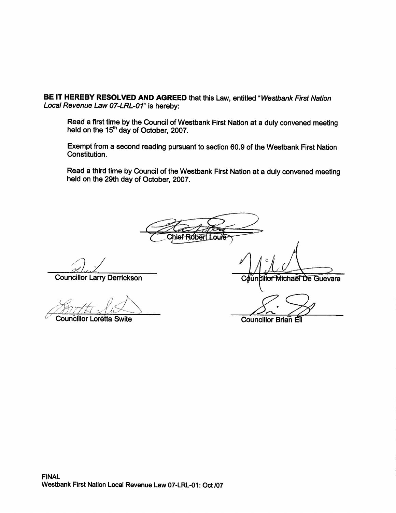BE IT HEREBY RESOLVED AND AGREED that this Law, entitled "Westbank First Nation Local Revenue Law 07-LRL-01" is hereby:

Read a first time by the Council of Westbank First Nation at a duly convened meeting held on the 15<sup>th</sup> day of October, 2007.

Exempt from <sup>a</sup> second reading pursuant to section 50.9 of the Westbank First Nation Constitution.

Read a third time by Council of the Westbank First Nation at a duly convened meeting held on the 29th day of October, 2007.

Chief-Ro*f*oeri

Councillor Larry Derrickson

 $\mathcal{P}_2$  .

**Councillor Loretta Swite** 

**Councillor Michael De Guevara** 

Ir

Councillor Brian Eli